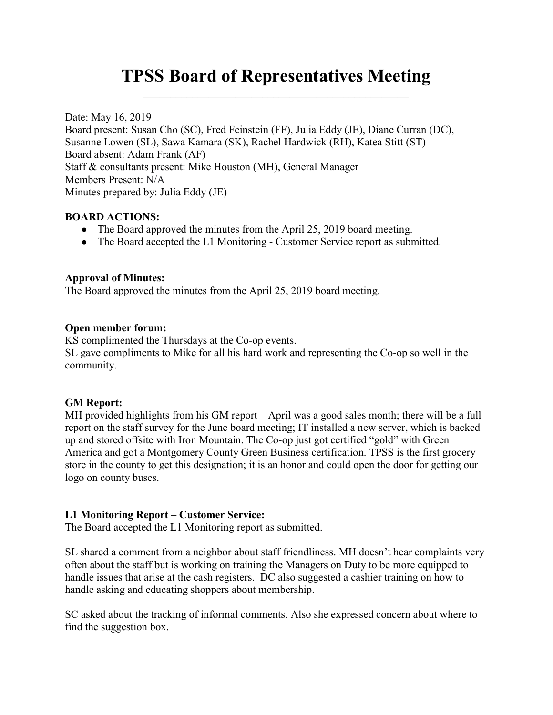# TPSS Board of Representatives Meeting

Date: May 16, 2019 Board present: Susan Cho (SC), Fred Feinstein (FF), Julia Eddy (JE), Diane Curran (DC), Susanne Lowen (SL), Sawa Kamara (SK), Rachel Hardwick (RH), Katea Stitt (ST) Board absent: Adam Frank (AF) Staff & consultants present: Mike Houston (MH), General Manager Members Present: N/A Minutes prepared by: Julia Eddy (JE)

#### BOARD ACTIONS:

- The Board approved the minutes from the April 25, 2019 board meeting.
- The Board accepted the L1 Monitoring Customer Service report as submitted.

#### Approval of Minutes:

The Board approved the minutes from the April 25, 2019 board meeting.

#### Open member forum:

KS complimented the Thursdays at the Co-op events. SL gave compliments to Mike for all his hard work and representing the Co-op so well in the community.

#### GM Report:

MH provided highlights from his GM report – April was a good sales month; there will be a full report on the staff survey for the June board meeting; IT installed a new server, which is backed up and stored offsite with Iron Mountain. The Co-op just got certified "gold" with Green America and got a Montgomery County Green Business certification. TPSS is the first grocery store in the county to get this designation; it is an honor and could open the door for getting our logo on county buses.

#### L1 Monitoring Report – Customer Service:

The Board accepted the L1 Monitoring report as submitted.

SL shared a comment from a neighbor about staff friendliness. MH doesn't hear complaints very often about the staff but is working on training the Managers on Duty to be more equipped to handle issues that arise at the cash registers. DC also suggested a cashier training on how to handle asking and educating shoppers about membership.

SC asked about the tracking of informal comments. Also she expressed concern about where to find the suggestion box.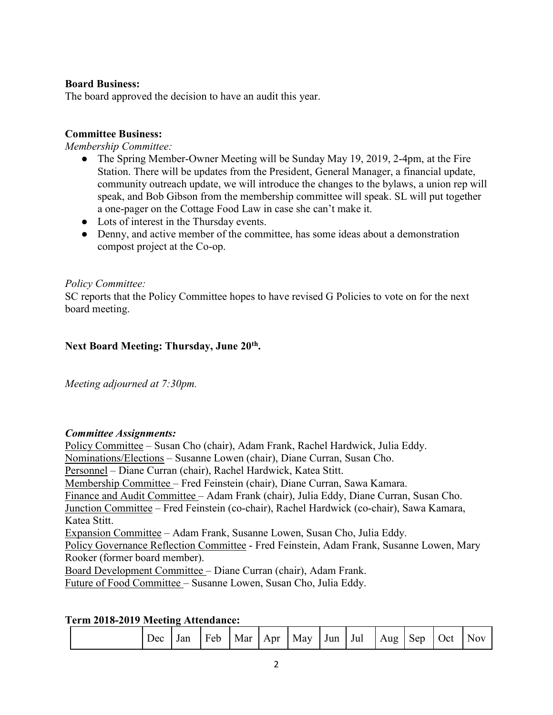## Board Business:

The board approved the decision to have an audit this year.

## Committee Business:

Membership Committee:

- The Spring Member-Owner Meeting will be Sunday May 19, 2019, 2-4pm, at the Fire Station. There will be updates from the President, General Manager, a financial update, community outreach update, we will introduce the changes to the bylaws, a union rep will speak, and Bob Gibson from the membership committee will speak. SL will put together a one-pager on the Cottage Food Law in case she can't make it.
- Lots of interest in the Thursday events.
- Denny, and active member of the committee, has some ideas about a demonstration compost project at the Co-op.

## Policy Committee:

SC reports that the Policy Committee hopes to have revised G Policies to vote on for the next board meeting.

## Next Board Meeting: Thursday, June 20th.

Meeting adjourned at 7:30pm.

## Committee Assignments:

Policy Committee – Susan Cho (chair), Adam Frank, Rachel Hardwick, Julia Eddy. Nominations/Elections – Susanne Lowen (chair), Diane Curran, Susan Cho. Personnel – Diane Curran (chair), Rachel Hardwick, Katea Stitt. Membership Committee – Fred Feinstein (chair), Diane Curran, Sawa Kamara. Finance and Audit Committee – Adam Frank (chair), Julia Eddy, Diane Curran, Susan Cho. Junction Committee – Fred Feinstein (co-chair), Rachel Hardwick (co-chair), Sawa Kamara, Katea Stitt. Expansion Committee – Adam Frank, Susanne Lowen, Susan Cho, Julia Eddy. Policy Governance Reflection Committee - Fred Feinstein, Adam Frank, Susanne Lowen, Mary Rooker (former board member). Board Development Committee – Diane Curran (chair), Adam Frank. Future of Food Committee – Susanne Lowen, Susan Cho, Julia Eddy.

## Term 2018-2019 Meeting Attendance:

| Jec | Jan | Mar<br>Feb | Apr | May | Jun | Jul | Aug | Sep | Jct | 1037 |
|-----|-----|------------|-----|-----|-----|-----|-----|-----|-----|------|
|-----|-----|------------|-----|-----|-----|-----|-----|-----|-----|------|